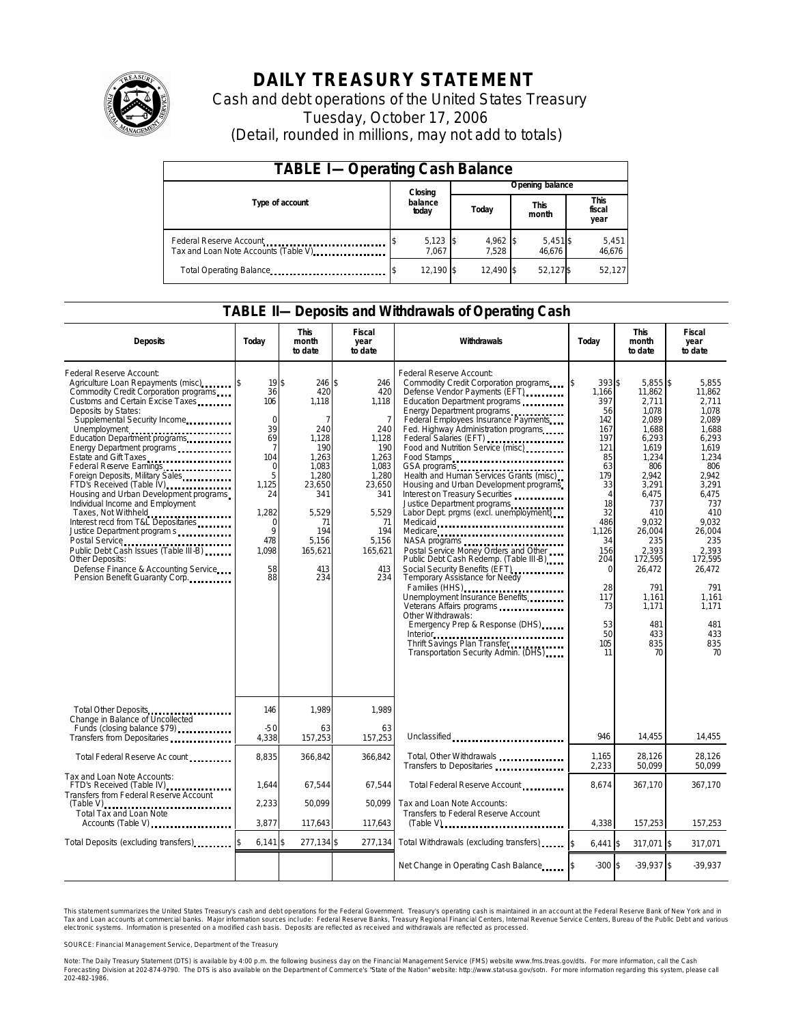

# **DAILY TREASURY STATEMENT**

Cash and debt operations of the United States Treasury Tuesday, October 17, 2006 (Detail, rounded in millions, may not add to totals)

| <b>TABLE I-Operating Cash Balance</b>                            |                  |                     |  |                               |  |                   |                               |                 |
|------------------------------------------------------------------|------------------|---------------------|--|-------------------------------|--|-------------------|-------------------------------|-----------------|
|                                                                  |                  | Closing             |  | Opening balance               |  |                   |                               |                 |
| Type of account                                                  | balance<br>today |                     |  | <b>This</b><br>Today<br>month |  |                   | <b>This</b><br>fiscal<br>year |                 |
| Federal Reserve Account<br>Tax and Loan Note Accounts (Table V). |                  | $5,123$ \$<br>7.067 |  | $4,962$ \$<br>7.528           |  | 5,451\$<br>46.676 |                               | 5,451<br>46,676 |
| Total Operating Balance                                          |                  | 12.190 \$           |  | 12.490 \$                     |  | 52.127\$          |                               | 52.127          |

### **TABLE II—Deposits and Withdrawals of Operating Cash**

| <b>Deposits</b>                                                                                                                                                                                                                                                                                                                                                                                                                                                                                                                                                                                                                                                                     | Today                                                                                                                                                           | <b>This</b><br>month<br>to date                                                                                                                                     | <b>Fiscal</b><br>year<br>to date                                                                                                                                 | Withdrawals                                                                                                                                                                                                                                                                                                                                                                                                                                                                                                                                                                                                                                                                                                                                                                                                                                                                                                           | Today                                                                                                                                                                                                             | <b>This</b><br>month<br>to date                                                                                                                                                                                                                 | Fiscal<br>year<br>to date                                                                                                                                                                                                                  |
|-------------------------------------------------------------------------------------------------------------------------------------------------------------------------------------------------------------------------------------------------------------------------------------------------------------------------------------------------------------------------------------------------------------------------------------------------------------------------------------------------------------------------------------------------------------------------------------------------------------------------------------------------------------------------------------|-----------------------------------------------------------------------------------------------------------------------------------------------------------------|---------------------------------------------------------------------------------------------------------------------------------------------------------------------|------------------------------------------------------------------------------------------------------------------------------------------------------------------|-----------------------------------------------------------------------------------------------------------------------------------------------------------------------------------------------------------------------------------------------------------------------------------------------------------------------------------------------------------------------------------------------------------------------------------------------------------------------------------------------------------------------------------------------------------------------------------------------------------------------------------------------------------------------------------------------------------------------------------------------------------------------------------------------------------------------------------------------------------------------------------------------------------------------|-------------------------------------------------------------------------------------------------------------------------------------------------------------------------------------------------------------------|-------------------------------------------------------------------------------------------------------------------------------------------------------------------------------------------------------------------------------------------------|--------------------------------------------------------------------------------------------------------------------------------------------------------------------------------------------------------------------------------------------|
| Federal Reserve Account:<br>Agriculture Loan Repayments (misc) \$<br>Commodity Credit Corporation programs<br>Customs and Certain Excise Taxes<br>Deposits by States:<br>Supplemental Security Income<br>Education Department programs<br>Energy Department programs<br>Federal Reserve Earnings<br>Foreign Deposits, Military Sales<br>FTD's Received (Table IV)<br>Housing and Urban Development programs<br>Individual Income and Employment<br>Taxes, Not Withheld<br>Interest recd from T&L Depositaries<br>Justice Department program s<br>Public Debt Cash Issues (Table III-B)<br>Other Deposits:<br>Defense Finance & Accounting Service<br>Pension Benefit Guaranty Corp. | 19 <sup>5</sup><br>36<br>106<br>$\mathbf 0$<br>39<br>69<br>$\overline{7}$<br>104<br>$\Omega$<br>5<br>1,125<br>24<br>1,282<br>O<br>9<br>478<br>1.098<br>58<br>88 | 246 \$<br>420<br>1,118<br>$\overline{7}$<br>240<br>1,128<br>190<br>1,263<br>1.083<br>1,280<br>23,650<br>341<br>5.529<br>71<br>194<br>5.156<br>165,621<br>413<br>234 | 246<br>420<br>1,118<br>$\overline{7}$<br>240<br>1,128<br>190<br>1.263<br>1.083<br>1,280<br>23,650<br>341<br>5.529<br>71<br>194<br>5.156<br>165,621<br>413<br>234 | Federal Reserve Account:<br>Commodity Credit Corporation programs<br>Defense Vendor Payments (EFT)<br>Education Department programs<br>Energy Department programs<br>Federal Employees Insurance Payments<br>Fed. Highway Administration programs<br>Federal Salaries (EFT)<br>Food and Nutrition Service (misc)<br>Food Stamps<br>GSA programs<br>Health and Human Services Grants (misc)<br>Housing and Urban Development programs<br>Interest on Treasury Securities<br>Justice Department programs<br>Labor Dept. prgms (excl. unemployment)<br>Medicaid<br>Medicare<br>Postal Service Money Orders and Other<br>Public Debt Cash Redemp. (Table III-B)<br>Social Security Benefits (EFT)<br>Temporary Assistance for Needy<br>Families (HHS)<br>Unemployment Insurance Benefits<br>Other Withdrawals:<br>Emergency Prep & Response (DHS)<br>Thrift Savings Plan Transfer<br>Transportation Security Admin. (DHS) | 393 \$<br>ß.<br>1,166<br>397<br>56<br>142<br>167<br>197<br>121<br>85<br>63<br>179<br>33<br>$\overline{4}$<br>18<br>32<br>486<br>1.126<br>34<br>156<br>204<br>$\Omega$<br>28<br>117<br>73<br>53<br>50<br>105<br>11 | $5.855$ \$<br>11,862<br>2,711<br>1.078<br>2,089<br>1.688<br>6,293<br>1.619<br>1.234<br>806<br>2.942<br>3,291<br>6,475<br>737<br>410<br>9.032<br>26.004<br>235<br>2.393<br>172,595<br>26,472<br>791<br>1,161<br>1.171<br>481<br>433<br>835<br>70 | 5.855<br>11,862<br>2,711<br>1.078<br>2,089<br>1.688<br>6,293<br>1.619<br>1.234<br>806<br>2.942<br>3,291<br>6.475<br>737<br>410<br>9.032<br>26.004<br>235<br>2.393<br>172,595<br>26,472<br>791<br>1,161<br>1.171<br>481<br>433<br>835<br>70 |
| Total Other Deposits<br>Change in Balance of Uncollected                                                                                                                                                                                                                                                                                                                                                                                                                                                                                                                                                                                                                            | 146                                                                                                                                                             | 1.989                                                                                                                                                               | 1.989                                                                                                                                                            |                                                                                                                                                                                                                                                                                                                                                                                                                                                                                                                                                                                                                                                                                                                                                                                                                                                                                                                       |                                                                                                                                                                                                                   |                                                                                                                                                                                                                                                 |                                                                                                                                                                                                                                            |
| Funds (closing balance \$79)<br>Funds (closing balance \$79)<br>Transfers from Depositaries                                                                                                                                                                                                                                                                                                                                                                                                                                                                                                                                                                                         | $-50$<br>4,338                                                                                                                                                  | 63<br>157,253                                                                                                                                                       | 63<br>157,253                                                                                                                                                    | Unclassified                                                                                                                                                                                                                                                                                                                                                                                                                                                                                                                                                                                                                                                                                                                                                                                                                                                                                                          | 946                                                                                                                                                                                                               | 14,455                                                                                                                                                                                                                                          | 14,455                                                                                                                                                                                                                                     |
| Total Federal Reserve Ac count                                                                                                                                                                                                                                                                                                                                                                                                                                                                                                                                                                                                                                                      | 8,835                                                                                                                                                           | 366,842                                                                                                                                                             | 366,842                                                                                                                                                          | Total, Other Withdrawals<br>Transfers to Depositaries                                                                                                                                                                                                                                                                                                                                                                                                                                                                                                                                                                                                                                                                                                                                                                                                                                                                 | 1,165<br>2,233                                                                                                                                                                                                    | 28,126<br>50,099                                                                                                                                                                                                                                | 28,126<br>50,099                                                                                                                                                                                                                           |
| Tax and Loan Note Accounts:<br>FTD's Received (Table IV)<br>Transfers from Federal Reserve Account                                                                                                                                                                                                                                                                                                                                                                                                                                                                                                                                                                                  | 1.644                                                                                                                                                           | 67,544                                                                                                                                                              | 67,544                                                                                                                                                           | Total Federal Reserve Account.                                                                                                                                                                                                                                                                                                                                                                                                                                                                                                                                                                                                                                                                                                                                                                                                                                                                                        | 8.674                                                                                                                                                                                                             | 367.170                                                                                                                                                                                                                                         | 367.170                                                                                                                                                                                                                                    |
| $(Table V)$<br><b>Total Tax and Loan Note</b><br>Accounts (Table V)                                                                                                                                                                                                                                                                                                                                                                                                                                                                                                                                                                                                                 | 2,233<br>3.877                                                                                                                                                  | 50.099<br>117,643                                                                                                                                                   | 50.099<br>117,643                                                                                                                                                | Tax and Loan Note Accounts:<br>Transfers to Federal Reserve Account<br>$(Table V)$ , $\ldots$ , $\ldots$ , $\ldots$ , $\ldots$ , $\ldots$ , $\ldots$ , $\ldots$ , $\ldots$                                                                                                                                                                                                                                                                                                                                                                                                                                                                                                                                                                                                                                                                                                                                            | 4,338                                                                                                                                                                                                             | 157,253                                                                                                                                                                                                                                         | 157,253                                                                                                                                                                                                                                    |
| Total Deposits (excluding transfers)                                                                                                                                                                                                                                                                                                                                                                                                                                                                                                                                                                                                                                                | $6,141$ \$                                                                                                                                                      | 277,134 \$                                                                                                                                                          | 277,134                                                                                                                                                          | Total Withdrawals (excluding transfers)                                                                                                                                                                                                                                                                                                                                                                                                                                                                                                                                                                                                                                                                                                                                                                                                                                                                               | $6,441$ \$<br><sup>\$</sup>                                                                                                                                                                                       | 317,071 \$                                                                                                                                                                                                                                      | 317,071                                                                                                                                                                                                                                    |
|                                                                                                                                                                                                                                                                                                                                                                                                                                                                                                                                                                                                                                                                                     |                                                                                                                                                                 |                                                                                                                                                                     |                                                                                                                                                                  | Net Change in Operating Cash Balance                                                                                                                                                                                                                                                                                                                                                                                                                                                                                                                                                                                                                                                                                                                                                                                                                                                                                  | $-300$ \$                                                                                                                                                                                                         | $-39,937$ \$                                                                                                                                                                                                                                    | $-39,937$                                                                                                                                                                                                                                  |

This statement summarizes the United States Treasury's cash and debt operations for the Federal Government. Treasury's operating cash is maintained in an account at the Federal Reserve Bank of New York and in Tax and Loan accounts at commercial banks. Major information sources include: Federal Reserve Banks, Treasury Regional Financial Centers, Internal Revenue Service Centers, Bureau of the Public Debt and various<br>electronic s

SOURCE: Financial Management Service, Department of the Treasury

Note: The Daily Treasury Statement (DTS) is available by 4:00 p.m. the following business day on the Financial Management Service (FMS) website www.fms.treas.gov/dts. For more information, call the Cash<br>Forecasting Divisio 'S) is available by 4:00 p.m. the following business day on the Financial Management Service (FMS) website www.fms.treas.gov/dts. For more information, call the Cash<br>The DTS is also available on the Department of Commerce'